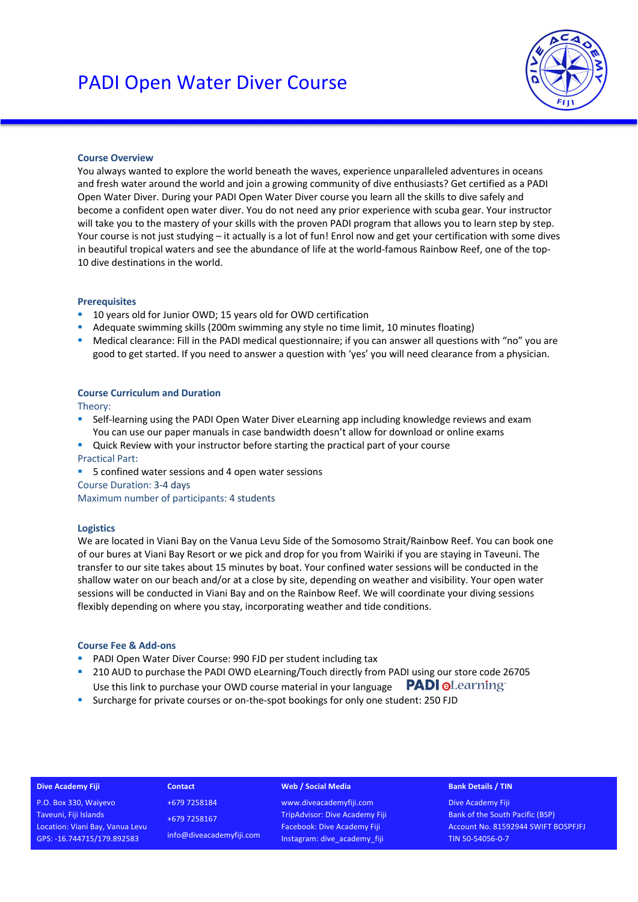

# **Course Overview**

You always wanted to explore the world beneath the waves, experience unparalleled adventures in oceans and fresh water around the world and join a growing community of dive enthusiasts? Get certified as a PADI Open Water Diver. During your PADI Open Water Diver course you learn all the skills to dive safely and become a confident open water diver. You do not need any prior experience with scuba gear. Your instructor will take you to the mastery of your skills with the proven PADI program that allows you to learn step by step. Your course is not just studying – it actually is a lot of fun! Enrol now and get your certification with some dives in beautiful tropical waters and see the abundance of life at the world-famous Rainbow Reef, one of the top-10 dive destinations in the world.

### **Prerequisites**

- 10 years old for Junior OWD: 15 years old for OWD certification
- § Adequate swimming skills (200m swimming any style no time limit, 10 minutes floating)
- Medical clearance: Fill in the PADI medical questionnaire; if you can answer all questions with "no" you are good to get started. If you need to answer a question with 'yes' you will need clearance from a physician.

### **Course Curriculum and Duration**

Theory:

- Self-learning using the PADI Open Water Diver eLearning app including knowledge reviews and exam You can use our paper manuals in case bandwidth doesn't allow for download or online exams
- Quick Review with your instructor before starting the practical part of your course Practical Part:
- 5 confined water sessions and 4 open water sessions
- Course Duration: 3-4 days

Maximum number of participants: 4 students

#### **Logistics**

We are located in Viani Bay on the Vanua Levu Side of the Somosomo Strait/Rainbow Reef. You can book one of our bures at Viani Bay Resort or we pick and drop for you from Wairiki if you are staying in Taveuni. The transfer to our site takes about 15 minutes by boat. Your confined water sessions will be conducted in the shallow water on our beach and/or at a close by site, depending on weather and visibility. Your open water sessions will be conducted in Viani Bay and on the Rainbow Reef. We will coordinate your diving sessions flexibly depending on where you stay, incorporating weather and tide conditions.

#### **Course Fee & Add-ons**

- PADI Open Water Diver Course: 990 FJD per student including tax
- <sup>■</sup> 210 AUD to purchase the PADI OWD eLearning/Touch directly from PADI using our store code 26705 **PADI @Learning** Use this link to purchase your OWD course material in your language
- § Surcharge for private courses or on-the-spot bookings for only one student: 250 FJD

#### **Dive Academy Fiji**

P.O. Box 330, Waiyevo Taveuni, Fiji Islands Location: Viani Bay, Vanua Levu GPS: -16.744715/179.892583

+679 7258184 +679 7258167 info@diveacademyfiji.com

**Contact**

#### **Web / Social Media**

www.diveacademyfiji.com TripAdvisor: Dive Academy Fiji Facebook: Dive Academy Fiji Instagram: dive\_academy\_fiji

#### **Bank Details / TIN**

Dive Academy Fiji Bank of the South Pacific (BSP) Account No. 81592944 SWIFT BOSPFJFJ TIN 50-54056-0-7